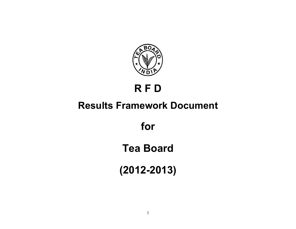

# **R F D**

# **Results Framework Document**

**for** 

**Tea Board** 

**(2012-2013)**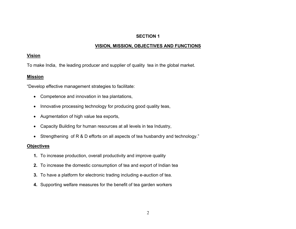# **SECTION 1**

# **VISION, MISSION, OBJECTIVES AND FUNCTIONS**

## **Vision**

To make India, the leading producer and supplier of quality tea in the global market.

# **Mission**

"Develop effective management strategies to facilitate:

- Competence and innovation in tea plantations,
- Innovative processing technology for producing good quality teas,
- Augmentation of high value tea exports,
- Capacity Building for human resources at all levels in tea Industry,
- Strengthening of R & D efforts on all aspects of tea husbandry and technology."

### **Objectives**

- **1.** To increase production, overall productivity and improve quality
- **2.** To increase the domestic consumption of tea and export of Indian tea
- **3.** To have a platform for electronic trading including e-auction of tea.
- **4.** Supporting welfare measures for the benefit of tea garden workers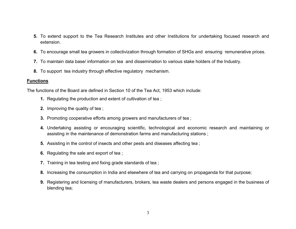- **5.** To extend support to the Tea Research Institutes and other Institutions for undertaking focused research and extension.
- **6.** To encourage small tea growers in collectivization through formation of SHGs and ensuring remunerative prices.
- **7.** To maintain data base/ information on tea and dissemination to various stake holders of the Industry.
- **8.** To support tea industry through effective regulatory mechanism.

### **Functions**

The functions of the Board are defined in Section 10 of the Tea Act, 1953 which include:

- **1.** Regulating the production and extent of cultivation of tea ;
- **2.** Improving the quality of tea ;
- **3.** Promoting cooperative efforts among growers and manufacturers of tea ;
- **4.** Undertaking assisting or encouraging scientific, technological and economic research and maintaining or assisting in the maintenance of demonstration farms and manufacturing stations ;
- **5.** Assisting in the control of insects and other pests and diseases affecting tea ;
- **6.** Regulating the sale and export of tea ;
- **7.** Training in tea testing and fixing grade standards of tea ;
- **8.** Increasing the consumption in India and elsewhere of tea and carrying on propaganda for that purpose;
- **9.** Registering and licensing of manufacturers, brokers, tea waste dealers and persons engaged in the business of blending tea;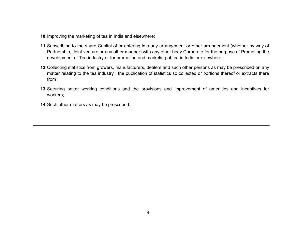- **10.** Improving the marketing of tea in India and elsewhere;
- **11.** Subscribing to the share Capital of or entering into any arrangement or other arrangement (whether by way of Partnership, Joint venture or any other manner) with any other body Corporate for the purpose of Promoting the development of Tea industry or for promotion and marketing of tea in India or elsewhere ;
- **12.** Collecting statistics from growers, manufacturers, dealers and such other persons as may be prescribed on any matter relating to the tea industry ; the publication of statistics so collected or portions thereof or extracts there from ;
- **13.** Securing better working conditions and the provisions and improvement of amenities and incentives for workers;
- **14.** Such other matters as may be prescribed.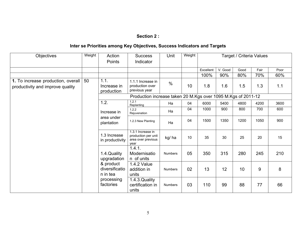#### **Section 2 :**

# **Inter se Priorities among Key Objectives, Success Indicators and Targets**

| Objectives                                                             | Weight | Action<br>Points                        | <b>Success</b><br>Indicator                                            | Unit           | Weight |           | Target / Criteria Values |      |      |      |  |
|------------------------------------------------------------------------|--------|-----------------------------------------|------------------------------------------------------------------------|----------------|--------|-----------|--------------------------|------|------|------|--|
|                                                                        |        |                                         |                                                                        |                |        | Excellent | V. Good                  | Good | Fair | Poor |  |
|                                                                        |        |                                         |                                                                        |                |        | 100%      | 90%                      | 80%  | 70%  | 60%  |  |
| 1. To increase production, overall<br>productivity and improve quality | 50     | 1.1.<br>Increase in<br>production       | 1.1.1 Increase in<br>production over<br>previous year                  | $\frac{0}{0}$  | 10     | 1.8       | 1.6                      | 1.5  | 1.3  | 1.1  |  |
|                                                                        |        |                                         | Production increase taken 20 M.Kgs over 1095 M.Kgs of 2011-12          |                |        |           |                          |      |      |      |  |
|                                                                        |        | 1.2.                                    | 1.2.1<br>Replanting                                                    | Ha             | 04     | 6000      | 5400                     | 4800 | 4200 | 3600 |  |
|                                                                        |        | Increase in                             | 1.2.2<br>Rejuvenation                                                  | Ha             | 04     | 1000      | 900                      | 800  | 700  | 600  |  |
|                                                                        |        | area under<br>plantation                | 1.2.3 New Planting                                                     | Ha             | 04     | 1500      | 1350                     | 1200 | 1050 | 900  |  |
|                                                                        |        | 1.3 Increase<br>in productivity         | 1.3.1 Increase in<br>production per unit<br>area over previous<br>year | kg/ha          | 10     | 35        | 30                       | 25   | 20   | 15   |  |
|                                                                        |        | 1.4. Quality<br>upgradation             | 1.4.1.<br>Modernisatio<br>n of units                                   | <b>Numbers</b> | 05     | 350       | 315                      | 280  | 245  | 210  |  |
|                                                                        |        | & product<br>diversificatio<br>n in tea | 1.4.2 Value<br>addition in<br>units                                    | <b>Numbers</b> | 02     | 13        | 12                       | 10   | 9    | 8    |  |
|                                                                        |        | processing<br>factories                 | 1.4.3. Quality<br>certification in<br>units                            | <b>Numbers</b> | 03     | 110       | 99                       | 88   | 77   | 66   |  |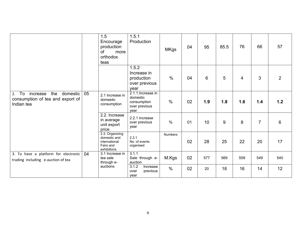|                                                                                        |    | 1.5<br>Encourage<br>production<br>of<br>more<br>orthodox<br>teas             | 1.5.1<br>Production                                                    | <b>MKgs</b>    | 04 | 95  | 85.5 | 76                       | 66             | 57             |
|----------------------------------------------------------------------------------------|----|------------------------------------------------------------------------------|------------------------------------------------------------------------|----------------|----|-----|------|--------------------------|----------------|----------------|
|                                                                                        |    |                                                                              | 1.5.2<br>Increase in<br>production<br>over previous<br>year            | $\frac{0}{0}$  | 04 | 6   | 5    | $\overline{\mathcal{A}}$ | 3              | $\overline{2}$ |
| increase<br>the<br>domestic<br>2. To<br>consumption of tea and export of<br>Indian tea | 05 | 2.1 Increase in<br>domestic<br>consumption                                   | 2.1.1. Increase in<br>domestic<br>consumption<br>over previous<br>year | $\frac{0}{0}$  | 02 | 1.9 | 1.8  | 1.6                      | 1.4            | 1.2            |
|                                                                                        |    | 2.2. Increase<br>in average<br>unit export<br>price                          | 2.2.1 increase<br>over previous<br>year                                | $\frac{0}{0}$  | 01 | 10  | 9    | 8                        | $\overline{7}$ | $6\phantom{1}$ |
|                                                                                        |    | 2.3. Organizing<br>domestic and<br>international<br>Fairs and<br>exhibitions | 2.3.1<br>No. of events<br>organised                                    | <b>Numbers</b> | 02 | 28  | 25   | 22                       | 20             | 17             |
| 3. To have a platform for electronic<br>trading including e-auction of tea             | 04 | 3.1 Increase in<br>tea sale<br>through e-                                    | 3.1.1<br>Sale through e-<br>auction                                    | M.Kgs          | 02 | 577 | 569  | 559                      | 549            | 540            |
|                                                                                        |    | auctions                                                                     | 3.1.2<br>Increase<br>previous<br>over<br>year                          | $\frac{0}{0}$  | 02 | 20  | 18   | 16                       | 14             | 12             |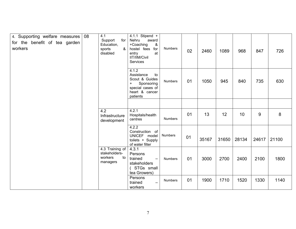| 4. Supporting welfare measures<br>for the benefit of tea garden<br>workers | 08 | 4.1<br>Support<br>for<br>Education,<br>&<br>sports<br>disabled | 4.1.1 Stipend +<br>Nehru<br>award<br>+Coaching<br>&<br>for<br>hostel fees<br>at<br>entry<br>IIT/IIM/Civil<br>Services | Numbers        | 02 | 2460  | 1089  | 968   | 847   | 726   |
|----------------------------------------------------------------------------|----|----------------------------------------------------------------|-----------------------------------------------------------------------------------------------------------------------|----------------|----|-------|-------|-------|-------|-------|
|                                                                            |    |                                                                | 4.1.2<br>Assistance<br>to<br>Scout & Guides<br>Sponsoring<br>$+$<br>special cases of<br>heart & cancer<br>patients    | <b>Numbers</b> | 01 | 1050  | 945   | 840   | 735   | 630   |
|                                                                            |    |                                                                |                                                                                                                       |                |    |       |       |       |       |       |
|                                                                            |    | $\overline{4.2}$<br>Infrastructure<br>development              | 4.2.1<br>Hospitals/health<br>centres                                                                                  | <b>Numbers</b> | 01 | 13    | 12    | 10    | 9     | 8     |
|                                                                            |    |                                                                | 4.2.2<br>Construction of<br>UNICEF model<br>toilets + Supply<br>of water filter                                       | <b>Numbers</b> | 01 | 35167 | 31650 | 28134 | 24617 | 21100 |
|                                                                            |    | 4.3 Training of<br>stakeholders-<br>workers<br>to<br>managers  | 4.3.1<br>Persons<br>trained<br>$\overline{\phantom{m}}$<br>stakeholders<br>STGs small<br>tea Growers)                 | Numbers        | 01 | 3000  | 2700  | 2400  | 2100  | 1800  |
|                                                                            |    |                                                                | Persons<br>trained<br>$\qquad \qquad -$<br>workers                                                                    | Numbers        | 01 | 1900  | 1710  | 1520  | 1330  | 1140  |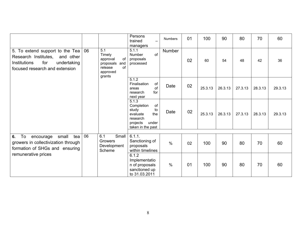|                                                                                                                                              |    |                                                                                                      | Persons<br>trained<br>managers                                                                                    | <b>Numbers</b> | 01 | 100     | 90      | 80      | 70      | 60      |
|----------------------------------------------------------------------------------------------------------------------------------------------|----|------------------------------------------------------------------------------------------------------|-------------------------------------------------------------------------------------------------------------------|----------------|----|---------|---------|---------|---------|---------|
| 5. To extend support to the Tea<br>Research Institutes,<br>and other<br>Institutions<br>for<br>undertaking<br>focused research and extension | 06 | $\overline{5.1}$<br>Timely<br>of<br>approval<br>proposals and<br>of<br>release<br>approved<br>grants | 5.1.1<br>of<br>Number<br>proposals<br>processed                                                                   | <b>Number</b>  | 02 | 60      | 54      | 48      | 42      | 36      |
|                                                                                                                                              |    |                                                                                                      | 5.1.2<br>Finalisation<br>of<br>of<br>areas<br>for<br>research<br>next year                                        | Date           | 02 | 25.3.13 | 26.3.13 | 27.3.13 | 28.3.13 | 29.3.13 |
|                                                                                                                                              |    |                                                                                                      | 5.1.3<br>Completion<br>of<br>to<br>study<br>evaluate<br>the<br>research<br>under<br>projects<br>taken in the past | Date           | 02 | 25.3.13 | 26.3.13 | 27.3.13 | 28.3.13 | 29.3.13 |
| To<br>6.<br>small<br>tea<br>encourage<br>growers in collectivization through<br>formation of SHGs and ensuring                               | 06 | 6.1<br>Small<br><b>Growers</b><br>Development<br>Scheme                                              | 6.1.1.<br>Sanctioning of<br>proposals<br>within timelines                                                         | $\frac{0}{0}$  | 02 | 100     | 90      | 80      | 70      | 60      |
| remunerative prices                                                                                                                          |    |                                                                                                      | 6.1.2<br>Implementatio<br>n of proposals<br>sanctioned up<br>to 31.03.2011                                        | $\frac{0}{0}$  | 01 | 100     | 90      | 80      | 70      | 60      |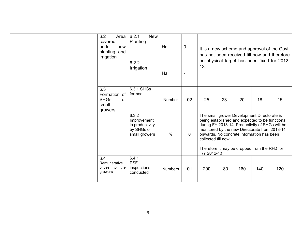| 6.2<br>Area<br>covered<br>under<br>new<br>planting and<br>irrigation | 6.2.1<br><b>New</b><br>Planting                                        | Ha             | $\pmb{0}$   |                                    |     |                                                                                                                                          |     | It is a new scheme and approval of the Govt.<br>has not been received till now and therefore<br>no physical target has been fixed for 2012-         |
|----------------------------------------------------------------------|------------------------------------------------------------------------|----------------|-------------|------------------------------------|-----|------------------------------------------------------------------------------------------------------------------------------------------|-----|-----------------------------------------------------------------------------------------------------------------------------------------------------|
|                                                                      | 6.2.2<br>Irrigation                                                    | Ha             |             | 13.                                |     |                                                                                                                                          |     |                                                                                                                                                     |
| 6.3<br>Formation of<br><b>SHGs</b><br>small<br>growers               | 6.3.1 SHGs<br>formed<br><b>of</b>                                      | <b>Number</b>  | 02          | 25                                 | 23  | 20                                                                                                                                       | 18  | 15                                                                                                                                                  |
|                                                                      | 6.3.2<br>Improvement<br>in productivity<br>by SHGs of<br>small growers | $\frac{0}{0}$  | $\mathbf 0$ | collected till now.<br>F/Y 2012-13 |     | The small grower Development Directorate is<br>onwards. No concrete information has been<br>Therefore it may be dropped from the RFD for |     | being established and expected to be functional<br>during FY 2013-14. Productivity of SHGs will be<br>monitored by the new Directorate from 2013-14 |
| 6.4<br>Remunerative<br>prices to<br>growers                          | 6.4.1<br><b>PSF</b><br>inspections<br>the<br>conducted                 | <b>Numbers</b> | 01          | 200                                | 180 | 160                                                                                                                                      | 140 | 120                                                                                                                                                 |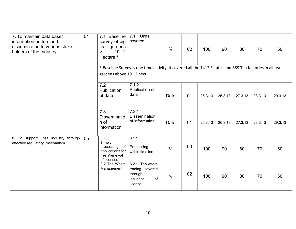| 7. To maintain data base/<br>information on tea and<br>dissemination to various stake<br>holders of the Industry | 04 | 7.1 Baseline<br>survey of big<br>tea gardens<br>10.12<br>><br>Hectare *            | 7.1.1 Units<br>covered                                                                                   | $\frac{0}{0}$ | 02 | 100     | 90      | 80      | 70      | 60      |
|------------------------------------------------------------------------------------------------------------------|----|------------------------------------------------------------------------------------|----------------------------------------------------------------------------------------------------------|---------------|----|---------|---------|---------|---------|---------|
|                                                                                                                  |    | gardens above 10.12 hect.                                                          | * Baseline Survey is one time activity. It covered all the 1412 Estates and 889 Tea factories in all tea |               |    |         |         |         |         |         |
|                                                                                                                  |    | 7.2<br>Publication<br>of data                                                      | 7.1.21<br>Publication of<br>data                                                                         | Date          | 01 | 25.3.13 | 26.3.13 | 27.3.13 | 28.3.13 | 29.3.13 |
|                                                                                                                  |    | 7.3<br><b>Disseminatio</b><br>n of<br>information                                  | 7.3.1<br><b>Dissemination</b><br>of information                                                          | Date          | 01 | 25.3.13 | 26.3.13 | 27.3.13 | 28.3.13 | 29.3.13 |
| 8. To support<br>tea industry through<br>effective regulatory mechanism                                          | 05 | 8.1<br>Timely<br>processing of<br>applications for<br>fresh/renewal<br>of licenses | 8.1.1<br>Processing<br>within timeline                                                                   | $\frac{0}{0}$ | 03 | 100     | 90      | 80      | 70      | 60      |
|                                                                                                                  |    | 8.2 Tea Waste<br>Management                                                        | 8.2.1 Tea waste<br>trading covered<br>through<br>of<br>issuance<br>license                               | $\frac{0}{0}$ | 02 | 100     | 90      | 80      | 70      | 60      |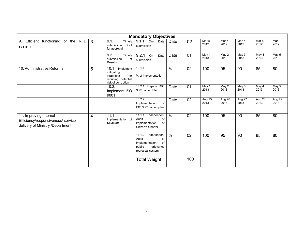|                                                                                                  |              |                                                                                                  | <b>Mandatory Objectives</b>                                                                             |               |     |                |                          |                |                |                |
|--------------------------------------------------------------------------------------------------|--------------|--------------------------------------------------------------------------------------------------|---------------------------------------------------------------------------------------------------------|---------------|-----|----------------|--------------------------|----------------|----------------|----------------|
| 9. Efficient functioning of the RFD<br>system                                                    | $\mathbf{3}$ | 9.1.<br>Timely<br>submission<br>Draft<br>for approval                                            | 9.1.1<br>On-<br>Date<br>submission                                                                      | Date          | 02  | Mar 5<br>2012  | Mar <sub>6</sub><br>2012 | Mar 7<br>2012  | Mar 8<br>2012  | Mar 9.<br>2012 |
|                                                                                                  |              | 9.2.<br>Timely<br>submission<br>of<br>Results                                                    | 9.2.1<br>On-<br>Date<br>submission                                                                      | Date          | 01  | May 1<br>2013  | May 2<br>2013            | May 3<br>2013  | May 4<br>2013  | May 5<br>2013  |
| 10. Administrative Reforms                                                                       | 5            | 10.1<br>Implement<br>mitigating<br>strategies<br>for<br>reducing potential<br>risk of corruption | 10.1.1<br>% of implementation                                                                           | $\frac{0}{0}$ | 02  | 100            | 95                       | 90             | 85             | 80             |
|                                                                                                  |              | 10.2.<br>Implement ISO<br>9001                                                                   | 10.2.1 Prepare ISO<br>9001 action Plan                                                                  | Date          | 01  | May 1<br>2013  | May 2<br>2013            | May 3<br>2013  | May 4<br>2013  | May 5<br>2013  |
|                                                                                                  |              |                                                                                                  | 10.2.2<br>Implementation<br>of<br>ISO 9001 action plan                                                  | Date          | 02  | Aug 25<br>2013 | Aug 26<br>2013           | Aug 27<br>2013 | Aug 28<br>2013 | Aug 29<br>2013 |
| 11. Improving Internal<br>Efficiency/responsiveness/ service<br>delivery of Ministry /Department | 4            | 11.1<br>Implementation of<br>Sevottam                                                            | 11.1.1<br>Independent<br>Audit<br>of<br>Implementation<br>of<br>Citizen's Charter                       | $\frac{0}{0}$ | 02  | 100            | 95                       | 90             | 85             | 80             |
|                                                                                                  |              |                                                                                                  | 11.1.2<br>Independent<br>Audit<br>of<br>Implementation<br>of<br>public<br>grievance<br>redressal system | $\frac{0}{0}$ | 02  | 100            | 95                       | 90             | 85             | 80             |
|                                                                                                  |              |                                                                                                  | <b>Total Weight</b>                                                                                     |               | 100 |                |                          |                |                |                |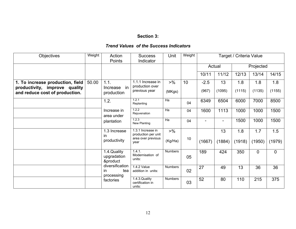#### **Section 3:**

#### *Trend Values of the Success Indicators*

| Objectives                                                                                          | Weight | Action<br>Points                           | <b>Success</b><br>Indicator                           | Unit                      | Weight |                 |                          | Target / Criteria Value |               |                |
|-----------------------------------------------------------------------------------------------------|--------|--------------------------------------------|-------------------------------------------------------|---------------------------|--------|-----------------|--------------------------|-------------------------|---------------|----------------|
|                                                                                                     |        |                                            |                                                       |                           |        |                 | Actual                   |                         | Projected     |                |
|                                                                                                     |        |                                            |                                                       |                           |        | 10/11           | 11/12                    | 12/13                   | 13/14         | 14/15          |
| 1. To increase production, field<br>productivity, improve quality<br>and reduce cost of production. | 50.00  | 1.1.<br>in<br>Increase<br>production       | 1.1.1 Increase in<br>production over<br>previous year | $> \frac{9}{6}$<br>(MKgs) | 10     | $-2.5$<br>(967) | 13<br>(1095)             | 1.8<br>(1115)           | 1.8<br>(1135) | 1.8<br>(1155)  |
|                                                                                                     |        | 1.2.                                       | 1.2.1<br>Replanting                                   | Ha                        | 04     | 6349            | 6504                     | 6000                    | 7000          | 8500           |
|                                                                                                     |        | Increase in<br>area under                  | 1.2.2<br>Rejuvenation                                 | Ha                        | 04     | 1600            | 1113                     | 1000                    | 1000          | 1500           |
|                                                                                                     |        | plantation                                 | 1.2.3<br>New Planting                                 | Ha                        | 04     |                 | $\overline{\phantom{0}}$ | 1500                    | 1000          | 1500           |
|                                                                                                     |        | 1.3 Increase<br>in                         | 1.3.1 Increase in<br>production per unit              | $> \frac{9}{6}$           |        |                 | 13                       | 1.8                     | 1.7           | 1.5            |
|                                                                                                     |        | productivity                               | area over previous<br>vear                            | (Kg/Ha)                   | 10     | (1667)          | (1884)                   | (1918)                  | (1950)        | (1979)         |
|                                                                                                     |        | 1.4. Quality<br>upgradation<br>&product    | 1.4.1.<br>Modernisation of<br>units:                  | <b>Numbers</b>            | 05     | 189             | 424                      | 350                     | $\mathbf 0$   | $\overline{0}$ |
|                                                                                                     |        | diversification<br>in<br>tea<br>processing | 1.4.2 Value<br>addition in units:                     | <b>Numbers</b>            | 02     | 27              | 49                       | 13                      | 36            | 36             |
|                                                                                                     |        | factories                                  | 1.4.3. Quality<br>certification in<br>units:          | <b>Numbers</b>            | 03     | 52              | 80                       | 110                     | 215           | 375            |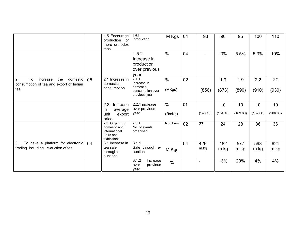|                                                                                           |    | 1.5 Encourage<br>production of<br>more orthodox<br>teas                      | 1.5.1<br>production                                                    | M Kgs                    | 04 | 93                       | 90             | 95             | 100            | 110            |
|-------------------------------------------------------------------------------------------|----|------------------------------------------------------------------------------|------------------------------------------------------------------------|--------------------------|----|--------------------------|----------------|----------------|----------------|----------------|
|                                                                                           |    |                                                                              | 1.5.2<br>Increase in<br>production<br>over previous<br>year            | $\frac{0}{0}$            | 04 |                          | $-3%$          | 5.5%           | 5.3%           | 10%            |
| 2.<br>To<br>domestic<br>the<br>increase<br>consumption of tea and export of Indian<br>tea | 05 | 2.1 Increase in<br>domestic<br>consumption                                   | 2.1.1.<br>Increase in<br>domestic<br>consumption over<br>previous year | $\frac{0}{0}$<br>(MKgs)  | 02 | (856)                    | 1.9<br>(873)   | 1.9<br>(890)   | 2.2<br>(910)   | 2.2<br>(930)   |
|                                                                                           |    | 2.2.<br>Increase<br>in<br>average<br>unit<br>export<br>price                 | 2.2.1 increase<br>over previous<br>year                                | $\frac{0}{0}$<br>(Rs/Kg) | 01 | (140.13)                 | 10<br>(154.18) | 10<br>(169.60) | 10<br>(187.00) | 10<br>(206.00) |
|                                                                                           |    | 2.3. Organizing<br>domestic and<br>international<br>Fairs and<br>exhibitions | 2.3.1<br>No. of events<br>organised:                                   | <b>Numbers</b>           | 02 | 37                       | 24             | 28             | 36             | 36             |
| 3. To have a platform for electronic<br>trading including e-auction of tea                | 04 | 3.1 Increase in<br>tea sale<br>through e-<br>auctions                        | 3.1.1<br>Sale through e-<br>auction                                    | M.Kgs                    | 04 | 426<br>m.kg              | 482<br>m.kg    | 577<br>m.kg    | 598<br>m.kg    | 621<br>m.kg    |
|                                                                                           |    |                                                                              | 3.1.2<br>Increase<br>previous<br>over<br>year                          | $\frac{0}{0}$            |    | $\overline{\phantom{0}}$ | 13%            | 20%            | 4%             | 4%             |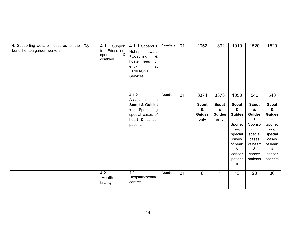| 4. Supporting welfare measures for the<br>benefit of tea garden workers | 08 | 4.1<br>Support<br>Education,<br>for<br>&<br>sports<br>disabled | $4.1.1$ Stipend +<br>Nehru<br>award<br>$\&$<br>+Coaching<br>hostel fees<br>for<br>entry<br>at<br>IIT/IIM/Civil<br>Services | <b>Numbers</b> | 01 | 1052                  | 1392                  | 1010                       | 1520                       | 1520                       |
|-------------------------------------------------------------------------|----|----------------------------------------------------------------|----------------------------------------------------------------------------------------------------------------------------|----------------|----|-----------------------|-----------------------|----------------------------|----------------------------|----------------------------|
|                                                                         |    |                                                                |                                                                                                                            |                |    |                       |                       |                            |                            |                            |
|                                                                         |    |                                                                | 4.1.2<br>Assistance<br>to                                                                                                  | Numbers        | 01 | 3374                  | 3373                  | 1050                       | 540                        | 540                        |
|                                                                         |    |                                                                | <b>Scout &amp; Guides</b>                                                                                                  |                |    | <b>Scout</b>          | <b>Scout</b>          | <b>Scout</b>               | <b>Scout</b>               | <b>Scout</b>               |
|                                                                         |    |                                                                | Sponsoring<br>$\ddot{}$                                                                                                    |                |    | &                     | &                     | &                          | &                          | &                          |
|                                                                         |    |                                                                | special cases of<br>heart & cancer                                                                                         |                |    | <b>Guides</b><br>only | <b>Guides</b><br>only | <b>Guides</b><br>$\ddot{}$ | <b>Guides</b><br>$\ddot{}$ | <b>Guides</b><br>$\ddot{}$ |
|                                                                         |    |                                                                | patients                                                                                                                   |                |    |                       |                       | Sponso                     | Sponso                     | Sponso                     |
|                                                                         |    |                                                                |                                                                                                                            |                |    |                       |                       | ring                       | ring                       | ring                       |
|                                                                         |    |                                                                |                                                                                                                            |                |    |                       |                       | special                    | special                    | special                    |
|                                                                         |    |                                                                |                                                                                                                            |                |    |                       |                       | cases                      | cases                      | cases                      |
|                                                                         |    |                                                                |                                                                                                                            |                |    |                       |                       | of heart                   | of heart                   | of heart                   |
|                                                                         |    |                                                                |                                                                                                                            |                |    |                       |                       | &                          | &                          | &                          |
|                                                                         |    |                                                                |                                                                                                                            |                |    |                       |                       | cancer                     | cancer                     | cancer                     |
|                                                                         |    |                                                                |                                                                                                                            |                |    |                       |                       | patient                    | patients                   | patients                   |
|                                                                         |    |                                                                |                                                                                                                            |                |    |                       |                       | s                          |                            |                            |
|                                                                         |    | 4.2<br>Health<br>facility                                      | 4.2.1<br>Hospitals/health<br>centres                                                                                       | Numbers        | 01 | 6                     | $\overline{1}$        | 13                         | 20                         | 30                         |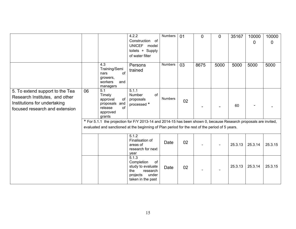|                                                                                                                                     |    |                                                                                         | 4.2.2<br>Construction of<br>UNICEF model<br>toilets + Supply<br>of water filter                                                                                                                                     | Numbers        | 01 | 0    | $\mathbf 0$ | 35167   | 10000<br>0 | 10000<br>0 |
|-------------------------------------------------------------------------------------------------------------------------------------|----|-----------------------------------------------------------------------------------------|---------------------------------------------------------------------------------------------------------------------------------------------------------------------------------------------------------------------|----------------|----|------|-------------|---------|------------|------------|
|                                                                                                                                     |    | 4.3<br>Training/Semi<br>of<br>nars<br>growers,<br>workers<br>and<br>managers            | Persons<br>trained                                                                                                                                                                                                  | <b>Numbers</b> | 03 | 8675 | 5000        | 5000    | 5000       | 5000       |
| 5. To extend support to the Tea<br>Research Institutes, and other<br>Institutions for undertaking<br>focused research and extension | 06 | 5.1<br>Timely<br>approval<br>of<br>proposals and<br>release<br>of<br>approved<br>grants | 5.1.1<br>Number<br>of<br>proposals<br>processed *                                                                                                                                                                   | <b>Numbers</b> | 02 |      |             | 60      |            |            |
|                                                                                                                                     |    |                                                                                         | * For 5.1.1 the projection for F/Y 2013-14 and 2014-15 has been shown 0, because Research proposals are invited,<br>evaluated and sanctioned at the beginning of Plan period for the rest of the period of 5 years. |                |    |      |             |         |            |            |
|                                                                                                                                     |    |                                                                                         | 5.1.2<br>Finalisation of<br>areas of<br>research for next<br>year                                                                                                                                                   | Date           | 02 |      |             | 25.3.13 | 25.3.14    | 25.3.15    |
|                                                                                                                                     |    |                                                                                         | 5.1.3<br>Completion<br>of<br>study to evaluate<br>the<br>research<br>projects<br>under<br>taken in the past                                                                                                         | Date           | 02 |      |             | 25.3.13 | 25.3.14    | 25.3.15    |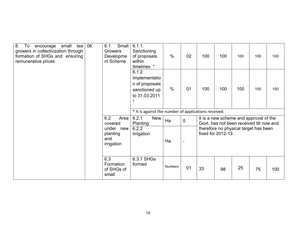| 6.<br>To<br>small<br>tea<br>encourage<br>growers in collectivization through<br>formation of SHGs and ensuring<br>remunerative prices | 06 | Small<br>6.1<br>Growers<br>Developme<br>nt Scheme | 6.1.1.<br>Sanctioning<br>of proposals<br>within<br>timelines *                        | $\frac{0}{0}$  | 02             | 100 | 100                                                                                | 100 | 100 | 100 |
|---------------------------------------------------------------------------------------------------------------------------------------|----|---------------------------------------------------|---------------------------------------------------------------------------------------|----------------|----------------|-----|------------------------------------------------------------------------------------|-----|-----|-----|
|                                                                                                                                       |    |                                                   | 6.1.2<br>Implementatio<br>n of proposals<br>sanctioned up<br>to 31.03.2011<br>$\star$ | $\frac{0}{0}$  | 01             | 100 | 100                                                                                | 100 | 100 | 100 |
|                                                                                                                                       |    |                                                   | * It is against the number of applications received.                                  |                |                |     |                                                                                    |     |     |     |
|                                                                                                                                       |    | 6.2<br>Area<br>covered                            | 6.2.1<br><b>New</b><br>Planting                                                       | Ha             | $\mathbf 0$    |     | It is a new scheme and approval of the<br>Govt. has not been received till now and |     |     |     |
|                                                                                                                                       |    | under<br>new<br>planting<br>and<br>irrigation     | 6.2.2<br>Irrigation                                                                   | Ha             | $\blacksquare$ |     | therefore no physical target has been<br>fixed for 2012-13.                        |     |     |     |
|                                                                                                                                       |    | 6.3<br>Formation<br>of SHGs of<br>small           | 6.3.1 SHGs<br>formed                                                                  | <b>Numbers</b> | 01             | 33  | 98                                                                                 | 25  | 75  | 100 |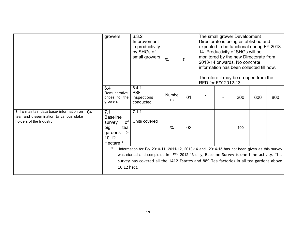|                                                                                                               |    | growers                                                                                                             | 6.3.2<br>Improvement<br>in productivity<br>by SHGs of<br>small growers                                                                                                                                                                                                                                       | $\frac{0}{0}$ | $\mathbf 0$ | RFD for F/Y 2012-13 | The small grower Development<br>Directorate is being established and<br>expected to be functional during FY 2013-<br>14. Productivity of SHGs will be<br>monitored by the new Directorate from<br>2013-14 onwards. No concrete<br>information has been collected till now.<br>Therefore it may be dropped from the |     |     |
|---------------------------------------------------------------------------------------------------------------|----|---------------------------------------------------------------------------------------------------------------------|--------------------------------------------------------------------------------------------------------------------------------------------------------------------------------------------------------------------------------------------------------------------------------------------------------------|---------------|-------------|---------------------|--------------------------------------------------------------------------------------------------------------------------------------------------------------------------------------------------------------------------------------------------------------------------------------------------------------------|-----|-----|
|                                                                                                               |    | 6.4<br>Remunerative<br>prices to the<br>growers                                                                     | 6.4.1<br><b>PSF</b><br>inspections<br>conducted                                                                                                                                                                                                                                                              | Numbe<br>rs   | 01          |                     | 200                                                                                                                                                                                                                                                                                                                | 600 | 800 |
| 7. To maintain data base/ information on<br>tea and dissemination to various stake<br>holders of the Industry | 04 | 7.1<br><b>Baseline</b><br>of<br>survey<br>big<br>tea<br>gardens<br>><br>10.12<br>Hectare *<br>$\ast$<br>10.12 hect. | 7.1.1<br>Units covered<br>Information for F/y 2010-11, 2011-12, 2013-14 and 2014-15 has not been given as this survey<br>was started and completed in F/Y 2012-13 only, Baseline Survey is one time activity. This<br>survey has covered all the 1412 Estates and 889 Tea factories in all tea gardens above | $\frac{0}{0}$ | 02          |                     | 100                                                                                                                                                                                                                                                                                                                |     |     |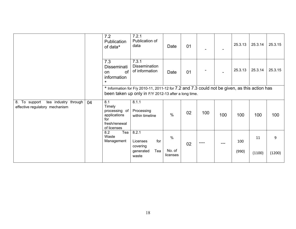|                            | 7.2<br>Publication<br>of data*                                                        | 7.2.1<br>Publication of<br>data                          | Date                       | 01 |     |                                                      | 25.3.13      | 25.3.14      | 25.3.15                                                                                       |
|----------------------------|---------------------------------------------------------------------------------------|----------------------------------------------------------|----------------------------|----|-----|------------------------------------------------------|--------------|--------------|-----------------------------------------------------------------------------------------------|
|                            | 7.3<br><b>Disseminati</b><br>of<br>on<br>information<br>$\ast$                        | 7.3.1<br>Dissemination<br>of information                 | Date                       | 01 |     |                                                      | 25.3.13      | 25.3.14      | 25.3.15                                                                                       |
|                            |                                                                                       |                                                          |                            |    |     |                                                      |              |              |                                                                                               |
| tea industry through<br>04 | 8.1<br>Timely<br>processing of<br>applications<br>for<br>fresh/renewal<br>of licenses | 8.1.1<br>Processing<br>within timeline                   | $\%$                       | 02 | 100 | 100                                                  | 100          | 100          | 100                                                                                           |
|                            | Tea<br>8.2<br>Waste<br>Management                                                     | 8.2.1<br>for<br>Licenses<br>covering<br>Tea<br>generated | $\%$<br>No. of<br>licenses | 02 |     | ---                                                  | 100<br>(990) | 11<br>(1100) | 9<br>(1200)                                                                                   |
|                            |                                                                                       |                                                          | waste                      |    |     | been taken up only in F/Y 2012-13 after a long time. |              |              | * Information for F/y 2010-11, 2011-12 for 7.2 and 7.3 could not be given, as this action has |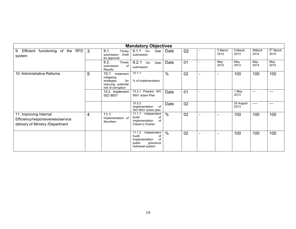|                                                                                                 |                |                                                                                                  | <b>Mandatory Objectives</b>                                                                             |               |    |                          |                 |                   |                |                     |
|-------------------------------------------------------------------------------------------------|----------------|--------------------------------------------------------------------------------------------------|---------------------------------------------------------------------------------------------------------|---------------|----|--------------------------|-----------------|-------------------|----------------|---------------------|
| Efficient functioning of the RFD<br>9 <sub>1</sub><br>system                                    | <sup>3</sup>   | 9.1.<br>Timely<br>Draft<br>submission<br>for approval                                            | 9.1.1<br>$On-$<br>Date<br>submission                                                                    | Date          | 02 |                          | 5 March<br>2012 | 5.March<br>2013   | 5March<br>2014 | $5th$ March<br>2015 |
|                                                                                                 |                | 9.2.<br>Timely<br>submission<br>οf<br><b>Results</b>                                             | $9.2.1$ On-<br>Date<br>submission                                                                       | Date          | 01 |                          | May<br>2012     | May<br>2013       | May<br>2014    | May<br>2015         |
| 10. Administrative Reforms                                                                      | 5              | 10.1<br>Implement<br>mitigating<br>for<br>strategies<br>reducing potential<br>risk of corruption | 10.1.1<br>% of implementation                                                                           | $\frac{0}{0}$ | 02 | $\overline{\phantom{a}}$ | $\blacksquare$  | 100               | 100            | 100                 |
|                                                                                                 |                | 10.2. Implement<br><b>ISO 9001</b>                                                               | 10.2.1 Prepare ISO<br>9001 action Plan                                                                  | Date          | 01 |                          |                 | 1 May<br>2013     | $---$          | ----                |
|                                                                                                 |                |                                                                                                  | 10.2.2<br>of<br>Implementation<br>ISO 9001 action plan                                                  | Date          | 02 |                          |                 | 25 August<br>2013 | -----          |                     |
| 11. Improving Internal<br>Efficiency/responsiveness/service<br>delivery of Ministry /Department | $\overline{4}$ | 11.1<br>Implementation of<br>Sevottam                                                            | 11.1.1<br>Independent<br>Audit<br>οf<br>Implementation<br>of<br>Citizen's Charter                       | $\frac{0}{0}$ | 02 | $\overline{\phantom{0}}$ | ٠               | 100               | 100            | 100                 |
|                                                                                                 |                |                                                                                                  | 11.1.2<br>Independent<br>Audit<br>οf<br>Implementation<br>of<br>public<br>grievance<br>redressal system | $\frac{0}{0}$ | 02 | $\blacksquare$           | $\blacksquare$  | 100               | 100            | 100                 |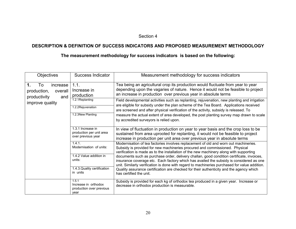#### Section 4

#### **DESCRIPTION & DEFINITION OF SUCCESS INDICATORS AND PROPOSED MEASUREMENT METHODOLOGY**

# **The measurement methodology for success indicators is based on the following:**

| <b>Objectives</b>                                                                        | <b>Success Indicator</b>                                                                       | Measurement methodology for success indicators                                                                                                                                                                                                                                                                                                                                                                                                                                                                                                                                                                                                                  |
|------------------------------------------------------------------------------------------|------------------------------------------------------------------------------------------------|-----------------------------------------------------------------------------------------------------------------------------------------------------------------------------------------------------------------------------------------------------------------------------------------------------------------------------------------------------------------------------------------------------------------------------------------------------------------------------------------------------------------------------------------------------------------------------------------------------------------------------------------------------------------|
| To<br>increase<br>1.<br>production,<br>overall<br>productivity<br>and<br>improve quality | 1.1.<br>Increase in<br>production<br>1.2.1Replanting<br>1.2.2Rejuvenation<br>1.2.3New Planting | Tea being an agricultural crop its production would fluctuate from year to year<br>depending upon the vagaries of nature. Hence it would not be feasible to project<br>an increase in production over previous year in absolute terms<br>Field developmental activities such as replanting, rejuvenation, new planting and irrigation<br>are eligible for subsidy under the plan scheme of the Tea Board. Applications received<br>are screened and after physical verification of the activity, subsidy is released. To<br>measure the actual extent of area developed, the post planting survey map drawn to scale<br>by accredited surveyors is relied upon. |
|                                                                                          | 1.3.1 Increase in<br>production per unit area<br>over previous year                            | In view of fluctuation in production on year to year basis and the crop loss to be<br>sustained from area uprooted for replanting, it would not be feasible to project<br>increase in production per unit area over previous year in absolute terms                                                                                                                                                                                                                                                                                                                                                                                                             |
|                                                                                          | 1.4.1.<br>Modernisation of units:                                                              | Modernisation of tea factories involves replacement of old and worn out machineries.<br>Subsidy is provided for new machineries procured and commissioned. Physical<br>verification is made as to the installation of the new machinery along with supporting                                                                                                                                                                                                                                                                                                                                                                                                   |
|                                                                                          | 1.4.2 Value addition in<br>units:<br>1.4.3. Quality certification                              | documents such as purchase order, delivery challan, good condition certificate, invoices,<br>insurance coverage etc. Each factory which has availed the subsidy is considered as one<br>unit. Similarly verification is done with regard to machineries purchased for value addition.<br>Quality assurance certification are checked for their authenticity and the agency which                                                                                                                                                                                                                                                                                |
|                                                                                          | in units                                                                                       | has certified the unit.                                                                                                                                                                                                                                                                                                                                                                                                                                                                                                                                                                                                                                         |
|                                                                                          | 1.5.1<br>Increase in orthodox<br>production over previous<br>vear                              | Subsidy is provided for each kg of orthodox tea produced in a given year. Increase or<br>decrease in orthodox production is measurable.                                                                                                                                                                                                                                                                                                                                                                                                                                                                                                                         |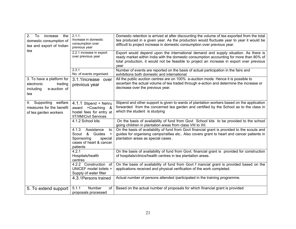| 2.<br>increase<br>the<br>To<br>domestic consumption of<br>tea and export of Indian     | 2.1.1.<br>Increase in domestic<br>consumption over<br>previous year                                                      | Domestic retention is arrived at after discounting the volume of tea exported from the total<br>tea produced in a given year. As the production would fluctuate year to year it would be<br>difficult to project increase in domestic consumption over previous year.               |
|----------------------------------------------------------------------------------------|--------------------------------------------------------------------------------------------------------------------------|-------------------------------------------------------------------------------------------------------------------------------------------------------------------------------------------------------------------------------------------------------------------------------------|
| tea                                                                                    | 2.2.1 increase in export<br>over previous year                                                                           | Export would depend upon the international demand and supply situation. As there is<br>ready market within India with the domestic consumption accounting for more than 80% of<br>total production, it would not be feasible to project an increase in export over previous<br>year |
|                                                                                        | 2.3.1<br>No. of events organised:                                                                                        | Number of events are reported on the basis of actual participation in the fairs and<br>exhibitions both domestic and international                                                                                                                                                  |
| 3. To have a platform for<br>electronic<br>trading<br>including<br>e-auction of<br>tea | 3.1.1 Increase over<br>previous year                                                                                     | All the public auction centres are on 100% e-auction mode. Hence it is possible to<br>ascertain the actual volume of tea traded through e-action and determine the increase or<br>decrease over the previous year.                                                                  |
| Supporting<br>welfare<br>4.<br>measures for the benefit<br>of tea garden workers       | 4.1.1 Stipend + Nehru<br>award +Coaching<br>- &<br>hostel fees for entry at<br><b>IIT/IIM/Civil Services</b>             | Stipend and other support is given to wards of plantation workers based on the application<br>forwarded from the concerned tea garden and certified by the School as to the class in<br>which the student is studying                                                               |
|                                                                                        | 4.1.2 School kits                                                                                                        | On the basis of availability of fund from Govt School kits to be provided to the school<br>going children in plantation areas from class VIII to XII.                                                                                                                               |
|                                                                                        | 4.1.3<br>Assistance<br>to<br>&<br>Scout<br>Guides<br>$+$<br>Sponsoring<br>special<br>cases of heart & cancer<br>patients | On the basis of availability of fund from Govt financial grant is provided to the scouts and<br>guides for organising camps/rallies etc Also covers grant to heart and cancer patients in<br>plantation areas as special cases.                                                     |
|                                                                                        | 4.2.1<br>Hospitals/health<br>centres                                                                                     | On the basis of availability of fund from Govt. financial grant is provided for construction<br>of hospitals/clinics/health centres in tea plantation areas.                                                                                                                        |
|                                                                                        | 4.2.2 Construction of<br>UNICEF model toilets +<br>Supply of water filter                                                | On the basis of availability of fund from Govt f inancial grant is provided based on the<br>applications received and physical verification of the work completed.                                                                                                                  |
|                                                                                        | 4.3.1 Persons trained                                                                                                    | Actual number of persons attended /participated in the training programme.                                                                                                                                                                                                          |
| 5. To extend support                                                                   | 5.1.1<br>Number<br>of<br>proposals processed                                                                             | Based on the actual number of proposals for which financial grant is provided                                                                                                                                                                                                       |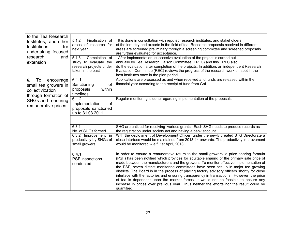| to the Tea Research<br>5.1.2<br>Finalisation of<br>It is done in consultation with reputed research institutes, and stakeholders<br>Institutes, and other<br>of the industry and experts in the field of tea. Research proposals received in different<br>areas of research for<br>Institutions<br>for<br>areas are screened preliminary through a screening committee and screened proposals<br>next year<br>undertaking focused<br>are further evaluated for acceptance.<br>research<br>and<br>5.1.3<br>Completion of<br>After implementation, successive evaluation of the project is carried out |  |
|------------------------------------------------------------------------------------------------------------------------------------------------------------------------------------------------------------------------------------------------------------------------------------------------------------------------------------------------------------------------------------------------------------------------------------------------------------------------------------------------------------------------------------------------------------------------------------------------------|--|
|                                                                                                                                                                                                                                                                                                                                                                                                                                                                                                                                                                                                      |  |
|                                                                                                                                                                                                                                                                                                                                                                                                                                                                                                                                                                                                      |  |
|                                                                                                                                                                                                                                                                                                                                                                                                                                                                                                                                                                                                      |  |
|                                                                                                                                                                                                                                                                                                                                                                                                                                                                                                                                                                                                      |  |
|                                                                                                                                                                                                                                                                                                                                                                                                                                                                                                                                                                                                      |  |
| annually by Tea Research Liaison Committee (TRLC) and this TRLC also<br>extension<br>study to evaluate the<br>research projects under<br>do the evaluation after completion of the projects. In addition, an independent Research                                                                                                                                                                                                                                                                                                                                                                    |  |
| Evaluation Committee (REC) reviews the progress of the research work on spot in the<br>taken in the past                                                                                                                                                                                                                                                                                                                                                                                                                                                                                             |  |
| host institutes once in the plan period.                                                                                                                                                                                                                                                                                                                                                                                                                                                                                                                                                             |  |
| Applications are processed as and when received and funds are released within the<br>6.1.1.<br>To<br>6.<br>encourage                                                                                                                                                                                                                                                                                                                                                                                                                                                                                 |  |
| financial year according to the receipt of fund from Gol<br>Sanctioning<br>0f<br>small tea growers in                                                                                                                                                                                                                                                                                                                                                                                                                                                                                                |  |
| proposals<br>within<br>collectivization                                                                                                                                                                                                                                                                                                                                                                                                                                                                                                                                                              |  |
| timelines<br>through formation of                                                                                                                                                                                                                                                                                                                                                                                                                                                                                                                                                                    |  |
| Regular monitoring is done regarding implementation of the proposals<br>6.1.2<br>SHGs and ensuring                                                                                                                                                                                                                                                                                                                                                                                                                                                                                                   |  |
| Implementation<br><b>of</b><br>remunerative prices                                                                                                                                                                                                                                                                                                                                                                                                                                                                                                                                                   |  |
| proposals sanctioned                                                                                                                                                                                                                                                                                                                                                                                                                                                                                                                                                                                 |  |
| up to 31.03.2011                                                                                                                                                                                                                                                                                                                                                                                                                                                                                                                                                                                     |  |
|                                                                                                                                                                                                                                                                                                                                                                                                                                                                                                                                                                                                      |  |
|                                                                                                                                                                                                                                                                                                                                                                                                                                                                                                                                                                                                      |  |
| 6.3.1<br>SHG are entitled for receiving various grants . Each SHG needs to produce records as                                                                                                                                                                                                                                                                                                                                                                                                                                                                                                        |  |
| No. of SHGs formed<br>the registration under society act and having a bank account.<br>With the deployment of Development Officer, under the newly created STG Directorate a<br>6.3.2 Improvement in                                                                                                                                                                                                                                                                                                                                                                                                 |  |
| productivity by SHGs of<br>close interface would be maintained from 2013-14 onwards. The productivity improvement                                                                                                                                                                                                                                                                                                                                                                                                                                                                                    |  |
| small growers<br>would be monitored w.e.f. 1st April, 2013.                                                                                                                                                                                                                                                                                                                                                                                                                                                                                                                                          |  |
|                                                                                                                                                                                                                                                                                                                                                                                                                                                                                                                                                                                                      |  |
| 6.4.1<br>In order to ensure a remunerative return to the small growers, a price sharing formula                                                                                                                                                                                                                                                                                                                                                                                                                                                                                                      |  |
| (PSF) has been notified which provides for equitable sharing of the primary sale price of<br>PSF inspections                                                                                                                                                                                                                                                                                                                                                                                                                                                                                         |  |
| made between the manufacturers and the growers. To monitor effective implementation of<br>conducted                                                                                                                                                                                                                                                                                                                                                                                                                                                                                                  |  |
| the PSF, seven district monitoring committees have been set up in major tea growing                                                                                                                                                                                                                                                                                                                                                                                                                                                                                                                  |  |
| districts. The Board is in the process of placing factory advisory officers shortly for close                                                                                                                                                                                                                                                                                                                                                                                                                                                                                                        |  |
| interface with the factories and ensuring transparency in transactions. However, the price                                                                                                                                                                                                                                                                                                                                                                                                                                                                                                           |  |
| of tea is dependent upon the market forces, it would not be feasible to ensure any<br>increase in prices over previous year. Thus neither the efforts nor the result could be                                                                                                                                                                                                                                                                                                                                                                                                                        |  |
| quantified.                                                                                                                                                                                                                                                                                                                                                                                                                                                                                                                                                                                          |  |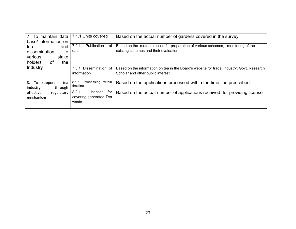| 7. To maintain data<br>base/ information on                                   | 7.1.1 Units covered                                         | Based on the actual number of gardens covered in the survey.                                                                    |  |  |  |  |
|-------------------------------------------------------------------------------|-------------------------------------------------------------|---------------------------------------------------------------------------------------------------------------------------------|--|--|--|--|
| and<br>tea<br>dissemination<br>to<br>stake<br>various<br>holders<br>0f<br>the | <b>Publication</b><br>7.2.1<br>οf<br>data                   | Based on the materials used for preparation of various schemes, monitoring of the<br>existing schemes and their evaluation      |  |  |  |  |
| <b>Industry</b>                                                               | Dissemination of<br>7.3.1<br>information                    | Based on the information on tea in the Board's website for trade, industry, Govt, Research<br>Scholar and other public interest |  |  |  |  |
| 8.<br>To<br>tea<br>support<br>industry<br>through                             | 8.1.1. Processing<br>within<br>timeline                     | Based on the applications processed within the time line prescribed.                                                            |  |  |  |  |
| effective<br>regulatory<br>mechanism                                          | 8.2.1<br>for<br>Licenses<br>covering generated Tea<br>waste | Based on the actual number of applications received for providing license                                                       |  |  |  |  |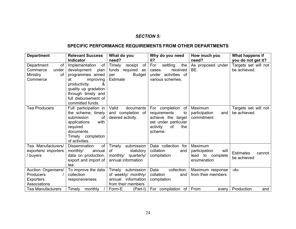#### *SECTION 5:*

# **SPECIFIC PERFORMANCE REQUIREMENTS FROM OTHER DEPARTMENTS**

| <b>Department</b>                                                    | <b>Relevant Success</b>                                                                                                                                  | What do you                                                                             | Why do you need                                                                                                                | How much you                                                        | What happens if                           |
|----------------------------------------------------------------------|----------------------------------------------------------------------------------------------------------------------------------------------------------|-----------------------------------------------------------------------------------------|--------------------------------------------------------------------------------------------------------------------------------|---------------------------------------------------------------------|-------------------------------------------|
|                                                                      | <b>Indicator</b>                                                                                                                                         | need?                                                                                   | it?                                                                                                                            | need?                                                               | you do not get it?                        |
| Department<br>0f<br>Commerce<br>under<br>Ministry<br>οf<br>Commerce  | of<br>Implementation<br>development<br>plan<br>programmes aimed<br>at<br>improving                                                                       | Timely<br>of<br>receipt<br>funds required as<br><b>Budget</b><br>per<br>Estimate        | For<br>settling<br>the<br>received<br>cases<br>under activities of<br>various schemes.                                         | As proposed under<br>BE.                                            | Targets set will not<br>be achieved.      |
|                                                                      | &<br>productivity,<br>quality up gradation<br>through timely and<br>full disbursement of<br>committed funds.                                             |                                                                                         |                                                                                                                                |                                                                     |                                           |
| <b>Tea Producers</b>                                                 | Full participation in<br>the scheme, timely<br>submission<br>оf<br>with<br>applications<br>required<br>documents.<br>Timely completion<br>of activities. | Valid<br>documents<br>and completion of<br>desired activity.                            | For completion<br>of l<br>requirements<br>to<br>achieve the target<br>set under particular<br>activity<br>the<br>of<br>scheme. | Maximum<br>participation<br>and<br>commitment                       | Targets set will not<br>be achieved.      |
| Tea Manufacturers/<br>exporters/ importers<br>/ buyers               | <b>Dissemination</b><br>of<br>monthly/<br>annual<br>data on production,<br>export and import of<br>tea                                                   | submission<br>Timely<br>of<br>statutory<br>monthly/<br>quarterly/<br>annual information | Data collection for<br>collation<br>and<br>compilation                                                                         | Maximum<br>participation<br>will<br>lead to complete<br>enumeration | <b>Estimates</b><br>cannot<br>be achieved |
| Auction Organisers/<br><b>Producers</b><br>Exporters<br>Associations | To improve the data<br>collection<br>responsiveness                                                                                                      | Timely submission<br>of weekly/ monthly/<br>information<br>annual<br>from their members | Data<br>collection,<br>collation<br>and<br>compilation                                                                         | Maximum response<br>from their members                              | -do-                                      |
| <b>Tea Manufacturers</b>                                             | monthly<br>Timely                                                                                                                                        | Form-E<br>(Part-I)                                                                      | For compilation of                                                                                                             | From<br>every                                                       | Production<br>and                         |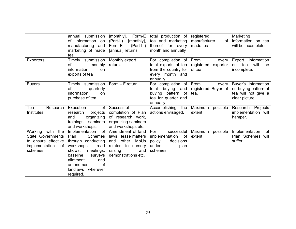| <b>Exporters</b>                                                                                    | annual submission<br>information on<br>of<br>manufacturing and<br>marketing of made<br>tea<br>Timely<br>submission<br>of<br>monthly                                                                                                      | Form-E<br>[monthly],<br>(Part-II)<br>[monthly],<br>Form-E<br>(Part-III)<br>[annual] returns<br>Monthly export<br>return.        | total production of<br>tea and marketing<br>thereof<br>for every<br>month and annually<br>For compilation of<br>total exports of tea | registered<br>manufacturer<br>of<br>made tea<br>From<br>every<br>registered<br>exporter | Marketing<br>information on tea<br>will be incomplete.<br>information<br>Export<br>will<br>tea<br>on<br>be |
|-----------------------------------------------------------------------------------------------------|------------------------------------------------------------------------------------------------------------------------------------------------------------------------------------------------------------------------------------------|---------------------------------------------------------------------------------------------------------------------------------|--------------------------------------------------------------------------------------------------------------------------------------|-----------------------------------------------------------------------------------------|------------------------------------------------------------------------------------------------------------|
|                                                                                                     | information<br><b>on</b><br>exports of tea                                                                                                                                                                                               |                                                                                                                                 | from the country for<br>every month and<br>annually                                                                                  | of tea.                                                                                 | incomplete.                                                                                                |
| <b>Buyers</b>                                                                                       | submission  <br>Timely<br>of<br>quarterly<br>information<br>on<br>purchase of tea                                                                                                                                                        | $Form - F$ return                                                                                                               | For compilation of<br>total<br>buying<br>and<br>buying pattern of<br>tea for quarter and<br>annually                                 | From<br>every<br>registered Buyer of<br>tea.                                            | Buyer's information<br>on buying pattern of<br>tea will not give a<br>clear picture.                       |
| Research<br>Tea<br><b>Institutes</b>                                                                | Execution<br>of<br>projects<br>research<br>and<br>organizing<br>trainings, seminars<br>and workshops.                                                                                                                                    | Successful<br>completion of Plan<br>of research work,<br>organizing seminars<br>and workshops etc.                              | Accomplishing<br>the<br>actions envisaged.                                                                                           | Maximum<br>possible<br>extent                                                           | Research Projects<br>implementation will<br>hamper.                                                        |
| Working with<br>the<br>State Governments<br>to ensure effective<br>implementation<br>of<br>schemes. | of <sub>l</sub><br>Implementation<br><b>Schemes</b><br>Plan<br>through conducting<br>workshops,<br>road<br>meetings,<br>shows,<br>baseline<br>surveys<br>allotment<br>and<br>amendment<br><b>of</b><br>landlaws<br>wherever<br>required. | Amendment of land<br>laws, lease matters<br>other<br>MoUs<br>and<br>related to nursery<br>raising<br>and<br>demonstrations etc. | For<br>successful<br>implementation of<br>decisions<br>policy<br>under<br>plan<br>schemes                                            | Maximum<br>possible<br>extent                                                           | Implementation<br>of<br>Plan Schemes will<br>suffer.                                                       |